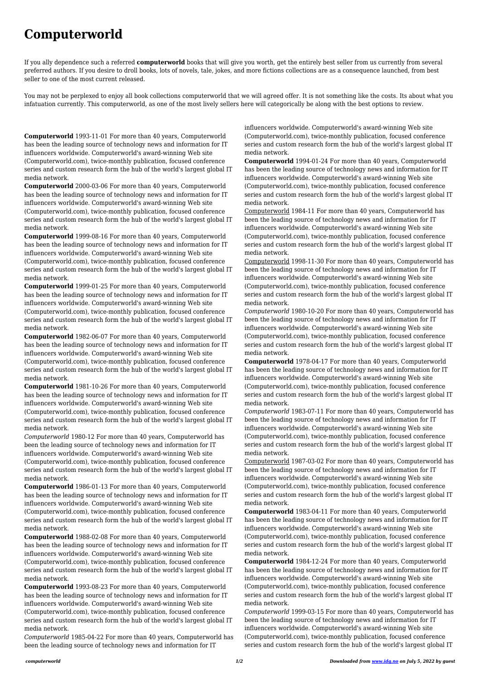## **Computerworld**

If you ally dependence such a referred **computerworld** books that will give you worth, get the entirely best seller from us currently from several preferred authors. If you desire to droll books, lots of novels, tale, jokes, and more fictions collections are as a consequence launched, from best seller to one of the most current released.

You may not be perplexed to enjoy all book collections computerworld that we will agreed offer. It is not something like the costs. Its about what you infatuation currently. This computerworld, as one of the most lively sellers here will categorically be along with the best options to review.

**Computerworld** 1993-11-01 For more than 40 years, Computerworld has been the leading source of technology news and information for IT influencers worldwide. Computerworld's award-winning Web site (Computerworld.com), twice-monthly publication, focused conference series and custom research form the hub of the world's largest global IT media network.

**Computerworld** 2000-03-06 For more than 40 years, Computerworld has been the leading source of technology news and information for IT influencers worldwide. Computerworld's award-winning Web site (Computerworld.com), twice-monthly publication, focused conference series and custom research form the hub of the world's largest global IT media network.

**Computerworld** 1999-08-16 For more than 40 years, Computerworld has been the leading source of technology news and information for IT influencers worldwide. Computerworld's award-winning Web site (Computerworld.com), twice-monthly publication, focused conference series and custom research form the hub of the world's largest global IT media network.

**Computerworld** 1999-01-25 For more than 40 years, Computerworld has been the leading source of technology news and information for IT influencers worldwide. Computerworld's award-winning Web site (Computerworld.com), twice-monthly publication, focused conference series and custom research form the hub of the world's largest global IT media network.

**Computerworld** 1982-06-07 For more than 40 years, Computerworld has been the leading source of technology news and information for IT influencers worldwide. Computerworld's award-winning Web site (Computerworld.com), twice-monthly publication, focused conference series and custom research form the hub of the world's largest global IT media network.

**Computerworld** 1981-10-26 For more than 40 years, Computerworld has been the leading source of technology news and information for IT influencers worldwide. Computerworld's award-winning Web site (Computerworld.com), twice-monthly publication, focused conference series and custom research form the hub of the world's largest global IT media network.

*Computerworld* 1980-12 For more than 40 years, Computerworld has been the leading source of technology news and information for IT influencers worldwide. Computerworld's award-winning Web site (Computerworld.com), twice-monthly publication, focused conference series and custom research form the hub of the world's largest global IT media network.

**Computerworld** 1986-01-13 For more than 40 years, Computerworld has been the leading source of technology news and information for IT influencers worldwide. Computerworld's award-winning Web site (Computerworld.com), twice-monthly publication, focused conference series and custom research form the hub of the world's largest global IT media network. **Computerworld** 1988-02-08 For more than 40 years, Computerworld has been the leading source of technology news and information for IT influencers worldwide. Computerworld's award-winning Web site (Computerworld.com), twice-monthly publication, focused conference series and custom research form the hub of the world's largest global IT media network. **Computerworld** 1993-08-23 For more than 40 years, Computerworld has been the leading source of technology news and information for IT influencers worldwide. Computerworld's award-winning Web site (Computerworld.com), twice-monthly publication, focused conference series and custom research form the hub of the world's largest global IT media network.

*Computerworld* 1985-04-22 For more than 40 years, Computerworld has been the leading source of technology news and information for IT

influencers worldwide. Computerworld's award-winning Web site (Computerworld.com), twice-monthly publication, focused conference series and custom research form the hub of the world's largest global IT media network.

**Computerworld** 1994-01-24 For more than 40 years, Computerworld has been the leading source of technology news and information for IT influencers worldwide. Computerworld's award-winning Web site (Computerworld.com), twice-monthly publication, focused conference series and custom research form the hub of the world's largest global IT media network.

Computerworld 1984-11 For more than 40 years, Computerworld has been the leading source of technology news and information for IT influencers worldwide. Computerworld's award-winning Web site (Computerworld.com), twice-monthly publication, focused conference series and custom research form the hub of the world's largest global IT media network.

Computerworld 1998-11-30 For more than 40 years, Computerworld has been the leading source of technology news and information for IT influencers worldwide. Computerworld's award-winning Web site (Computerworld.com), twice-monthly publication, focused conference series and custom research form the hub of the world's largest global IT media network.

*Computerworld* 1980-10-20 For more than 40 years, Computerworld has been the leading source of technology news and information for IT influencers worldwide. Computerworld's award-winning Web site (Computerworld.com), twice-monthly publication, focused conference series and custom research form the hub of the world's largest global IT media network.

**Computerworld** 1978-04-17 For more than 40 years, Computerworld has been the leading source of technology news and information for IT influencers worldwide. Computerworld's award-winning Web site (Computerworld.com), twice-monthly publication, focused conference series and custom research form the hub of the world's largest global IT media network.

*Computerworld* 1983-07-11 For more than 40 years, Computerworld has been the leading source of technology news and information for IT influencers worldwide. Computerworld's award-winning Web site (Computerworld.com), twice-monthly publication, focused conference series and custom research form the hub of the world's largest global IT media network.

Computerworld 1987-03-02 For more than 40 years, Computerworld has been the leading source of technology news and information for IT influencers worldwide. Computerworld's award-winning Web site (Computerworld.com), twice-monthly publication, focused conference series and custom research form the hub of the world's largest global IT media network.

**Computerworld** 1983-04-11 For more than 40 years, Computerworld

has been the leading source of technology news and information for IT influencers worldwide. Computerworld's award-winning Web site (Computerworld.com), twice-monthly publication, focused conference series and custom research form the hub of the world's largest global IT media network.

**Computerworld** 1984-12-24 For more than 40 years, Computerworld has been the leading source of technology news and information for IT influencers worldwide. Computerworld's award-winning Web site (Computerworld.com), twice-monthly publication, focused conference series and custom research form the hub of the world's largest global IT media network.

*Computerworld* 1999-03-15 For more than 40 years, Computerworld has been the leading source of technology news and information for IT influencers worldwide. Computerworld's award-winning Web site (Computerworld.com), twice-monthly publication, focused conference series and custom research form the hub of the world's largest global IT